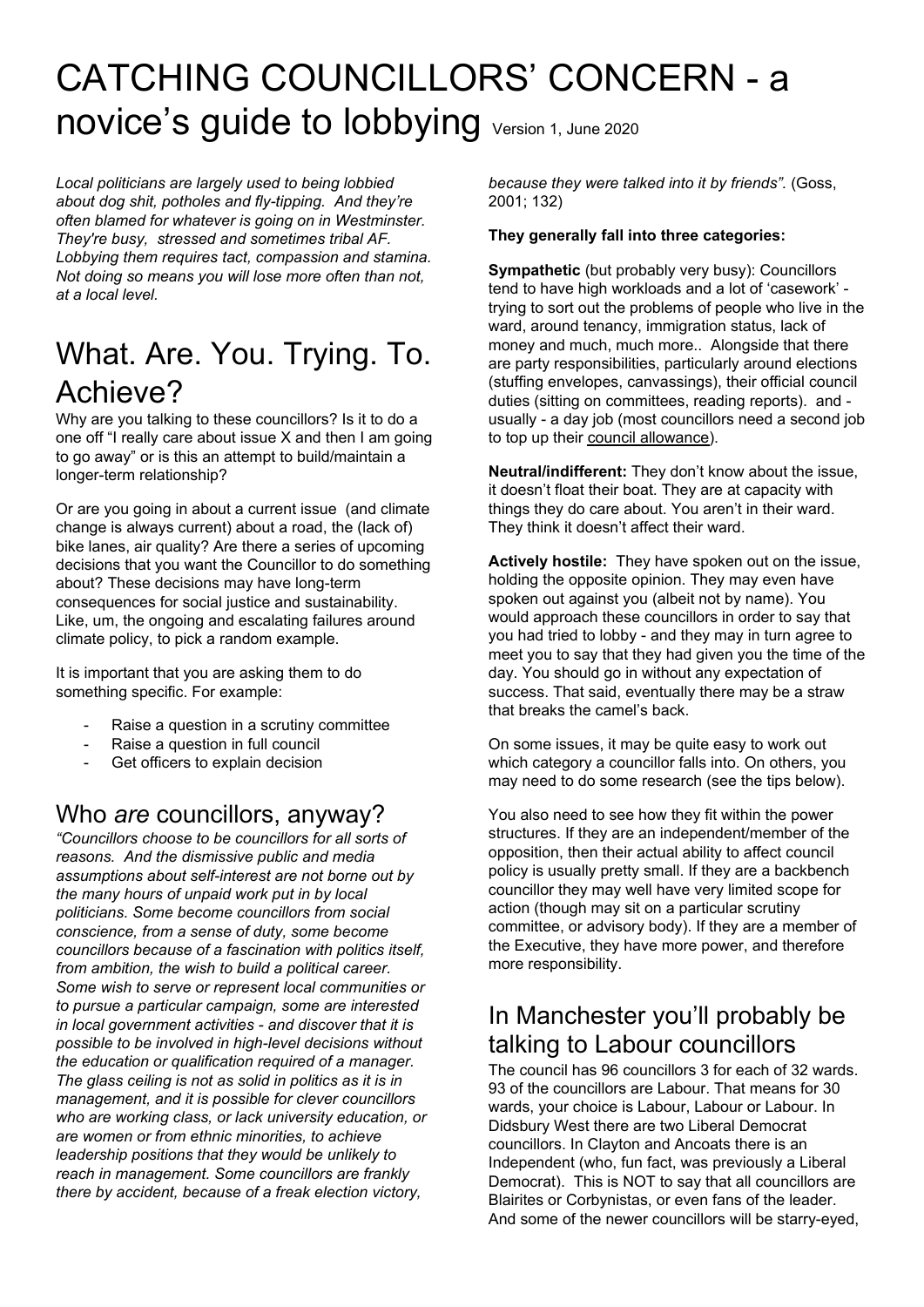# CATCHING COUNCILLORS' CONCERN - a novice's guide to lobbying Version 1, June 2020

*Local politicians are largely used to being lobbied about dog shit, potholes and fly-tipping. And they're often blamed for whatever is going on in Westminster. They're busy, stressed and sometimes tribal AF. Lobbying them requires tact, compassion and stamina. Not doing so means you will lose more often than not, at a local level.*

# What. Are. You. Trying. To. Achieve?

Why are you talking to these councillors? Is it to do a one off "I really care about issue X and then I am going to go away" or is this an attempt to build/maintain a longer-term relationship?

Or are you going in about a current issue (and climate change is always current) about a road, the (lack of) bike lanes, air quality? Are there a series of upcoming decisions that you want the Councillor to do something about? These decisions may have long-term consequences for social justice and sustainability. Like, um, the ongoing and escalating failures around climate policy, to pick a random example.

It is important that you are asking them to do something specific. For example:

- Raise a question in a scrutiny committee
- Raise a question in full council
- Get officers to explain decision

## Who *are* councillors, anyway?

*"Councillors choose to be councillors for all sorts of reasons. And the dismissive public and media assumptions about self-interest are not borne out by the many hours of unpaid work put in by local politicians. Some become councillors from social conscience, from a sense of duty, some become councillors because of a fascination with politics itself, from ambition, the wish to build a political career. Some wish to serve or represent local communities or to pursue a particular campaign, some are interested in local government activities - and discover that it is possible to be involved in high-level decisions without the education or qualification required of a manager. The glass ceiling is not as solid in politics as it is in management, and it is possible for clever councillors who are working class, or lack university education, or are women or from ethnic minorities, to achieve leadership positions that they would be unlikely to reach in management. Some councillors are frankly there by accident, because of a freak election victory,*

*because they were talked into it by friends".* (Goss, 2001; 132)

#### **They generally fall into three categories:**

**Sympathetic** (but probably very busy): Councillors tend to have high workloads and a lot of 'casework' trying to sort out the problems of people who live in the ward, around tenancy, immigration status, lack of money and much, much more.. Alongside that there are party responsibilities, particularly around elections (stuffing envelopes, canvassings), their official council duties (sitting on committees, reading reports). and usually - a day job (most councillors need a second job to top up their council [allowance\)](https://democracy.manchester.gov.uk/ecSDDisplay.aspx?NAME=SD230&ID=230&RPID=1148544).

**Neutral/indifferent:** They don't know about the issue, it doesn't float their boat. They are at capacity with things they do care about. You aren't in their ward. They think it doesn't affect their ward.

**Actively hostile:** They have spoken out on the issue, holding the opposite opinion. They may even have spoken out against you (albeit not by name). You would approach these councillors in order to say that you had tried to lobby - and they may in turn agree to meet you to say that they had given you the time of the day. You should go in without any expectation of success. That said, eventually there may be a straw that breaks the camel's back.

On some issues, it may be quite easy to work out which category a councillor falls into. On others, you may need to do some research (see the tips below).

You also need to see how they fit within the power structures. If they are an independent/member of the opposition, then their actual ability to affect council policy is usually pretty small. If they are a backbench councillor they may well have very limited scope for action (though may sit on a particular scrutiny committee, or advisory body). If they are a member of the Executive, they have more power, and therefore more responsibility.

## In Manchester you'll probably be talking to Labour councillors

The council has 96 councillors 3 for each of 32 wards. 93 of the councillors are Labour. That means for 30 wards, your choice is Labour, Labour or Labour. In Didsbury West there are two Liberal Democrat councillors. In Clayton and Ancoats there is an Independent (who, fun fact, was previously a Liberal Democrat). This is NOT to say that all councillors are Blairites or Corbynistas, or even fans of the leader. And some of the newer councillors will be starry-eyed,